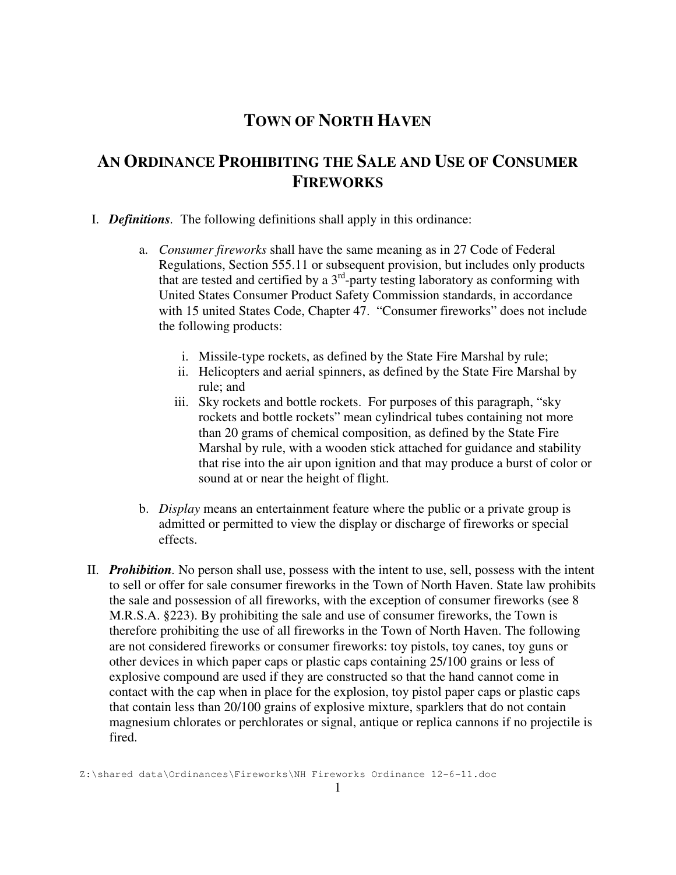## **TOWN OF NORTH HAVEN**

## **AN ORDINANCE PROHIBITING THE SALE AND USE OF CONSUMER FIREWORKS**

- I. *Definitions.* The following definitions shall apply in this ordinance:
	- a. *Consumer fireworks* shall have the same meaning as in 27 Code of Federal Regulations, Section 555.11 or subsequent provision, but includes only products that are tested and certified by a  $3<sup>rd</sup>$ -party testing laboratory as conforming with United States Consumer Product Safety Commission standards, in accordance with 15 united States Code, Chapter 47. "Consumer fireworks" does not include the following products:
		- i. Missile-type rockets, as defined by the State Fire Marshal by rule;
		- ii. Helicopters and aerial spinners, as defined by the State Fire Marshal by rule; and
		- iii. Sky rockets and bottle rockets. For purposes of this paragraph, "sky rockets and bottle rockets" mean cylindrical tubes containing not more than 20 grams of chemical composition, as defined by the State Fire Marshal by rule, with a wooden stick attached for guidance and stability that rise into the air upon ignition and that may produce a burst of color or sound at or near the height of flight.
	- b. *Display* means an entertainment feature where the public or a private group is admitted or permitted to view the display or discharge of fireworks or special effects.
- II. *Prohibition.* No person shall use, possess with the intent to use, sell, possess with the intent to sell or offer for sale consumer fireworks in the Town of North Haven. State law prohibits the sale and possession of all fireworks, with the exception of consumer fireworks (see 8 M.R.S.A. §223). By prohibiting the sale and use of consumer fireworks, the Town is therefore prohibiting the use of all fireworks in the Town of North Haven. The following are not considered fireworks or consumer fireworks: toy pistols, toy canes, toy guns or other devices in which paper caps or plastic caps containing 25/100 grains or less of explosive compound are used if they are constructed so that the hand cannot come in contact with the cap when in place for the explosion, toy pistol paper caps or plastic caps that contain less than 20/100 grains of explosive mixture, sparklers that do not contain magnesium chlorates or perchlorates or signal, antique or replica cannons if no projectile is fired.

Z:\shared data\Ordinances\Fireworks\NH Fireworks Ordinance 12-6-11.doc